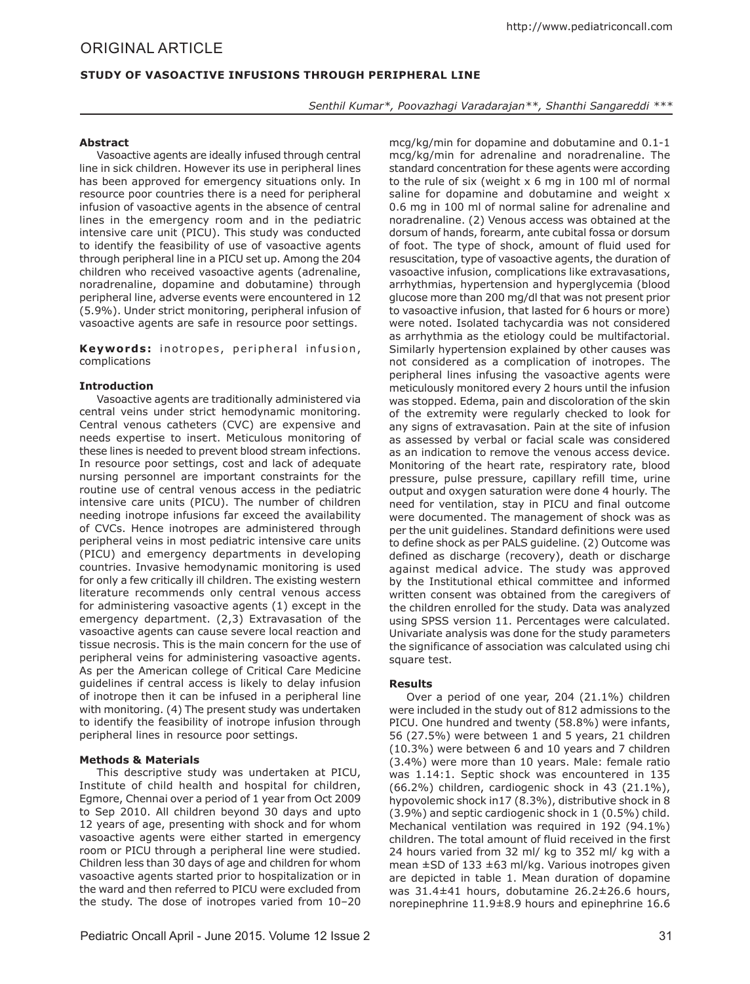# **Study of Vasoactive Infusions through Peripheral Line**

*Senthil Kumar\*, Poovazhagi Varadarajan\*\*, Shanthi Sangareddi \*\*\**

### **Abstract**

Vasoactive agents are ideally infused through central line in sick children. However its use in peripheral lines has been approved for emergency situations only. In resource poor countries there is a need for peripheral infusion of vasoactive agents in the absence of central lines in the emergency room and in the pediatric intensive care unit (PICU). This study was conducted to identify the feasibility of use of vasoactive agents through peripheral line in a PICU set up. Among the 204 children who received vasoactive agents (adrenaline, noradrenaline, dopamine and dobutamine) through peripheral line, adverse events were encountered in 12 (5.9%). Under strict monitoring, peripheral infusion of vasoactive agents are safe in resource poor settings.

Keywords: inotropes, peripheral infusion, complications

## **Introduction**

Vasoactive agents are traditionally administered via central veins under strict hemodynamic monitoring. Central venous catheters (CVC) are expensive and needs expertise to insert. Meticulous monitoring of these lines is needed to prevent blood stream infections. In resource poor settings, cost and lack of adequate nursing personnel are important constraints for the routine use of central venous access in the pediatric intensive care units (PICU). The number of children needing inotrope infusions far exceed the availability of CVCs. Hence inotropes are administered through peripheral veins in most pediatric intensive care units (PICU) and emergency departments in developing countries. Invasive hemodynamic monitoring is used for only a few critically ill children. The existing western literature recommends only central venous access for administering vasoactive agents (1) except in the emergency department. (2,3) Extravasation of the vasoactive agents can cause severe local reaction and tissue necrosis. This is the main concern for the use of peripheral veins for administering vasoactive agents. As per the American college of Critical Care Medicine guidelines if central access is likely to delay infusion of inotrope then it can be infused in a peripheral line with monitoring. (4) The present study was undertaken to identify the feasibility of inotrope infusion through peripheral lines in resource poor settings.

## **Methods & Materials**

This descriptive study was undertaken at PICU, Institute of child health and hospital for children, Egmore, Chennai over a period of 1 year from Oct 2009 to Sep 2010. All children beyond 30 days and upto 12 years of age, presenting with shock and for whom vasoactive agents were either started in emergency room or PICU through a peripheral line were studied. Children less than 30 days of age and children for whom vasoactive agents started prior to hospitalization or in the ward and then referred to PICU were excluded from the study. The dose of inotropes varied from 10–20 mcg/kg/min for dopamine and dobutamine and 0.1-1 mcg/kg/min for adrenaline and noradrenaline. The standard concentration for these agents were according to the rule of six (weight x 6 mg in 100 ml of normal saline for dopamine and dobutamine and weight x 0.6 mg in 100 ml of normal saline for adrenaline and noradrenaline. (2) Venous access was obtained at the dorsum of hands, forearm, ante cubital fossa or dorsum of foot. The type of shock, amount of fluid used for resuscitation, type of vasoactive agents, the duration of vasoactive infusion, complications like extravasations, arrhythmias, hypertension and hyperglycemia (blood glucose more than 200 mg/dl that was not present prior to vasoactive infusion, that lasted for 6 hours or more) were noted. Isolated tachycardia was not considered as arrhythmia as the etiology could be multifactorial. Similarly hypertension explained by other causes was not considered as a complication of inotropes. The peripheral lines infusing the vasoactive agents were meticulously monitored every 2 hours until the infusion was stopped. Edema, pain and discoloration of the skin of the extremity were regularly checked to look for any signs of extravasation. Pain at the site of infusion as assessed by verbal or facial scale was considered as an indication to remove the venous access device. Monitoring of the heart rate, respiratory rate, blood pressure, pulse pressure, capillary refill time, urine output and oxygen saturation were done 4 hourly. The need for ventilation, stay in PICU and final outcome were documented. The management of shock was as per the unit guidelines. Standard definitions were used to define shock as per PALS guideline. (2) Outcome was defined as discharge (recovery), death or discharge against medical advice. The study was approved by the Institutional ethical committee and informed written consent was obtained from the caregivers of the children enrolled for the study. Data was analyzed using SPSS version 11. Percentages were calculated. Univariate analysis was done for the study parameters the significance of association was calculated using chi square test.

#### **Results**

Over a period of one year, 204 (21.1%) children were included in the study out of 812 admissions to the PICU. One hundred and twenty (58.8%) were infants, 56 (27.5%) were between 1 and 5 years, 21 children (10.3%) were between 6 and 10 years and 7 children (3.4%) were more than 10 years. Male: female ratio was 1.14:1. Septic shock was encountered in 135 (66.2%) children, cardiogenic shock in 43 (21.1%), hypovolemic shock in17 (8.3%), distributive shock in 8 (3.9%) and septic cardiogenic shock in 1 (0.5%) child. Mechanical ventilation was required in 192 (94.1%) children. The total amount of fluid received in the first 24 hours varied from 32 ml/ kg to 352 ml/ kg with a mean ±SD of 133 ±63 ml/kg. Various inotropes given are depicted in table 1. Mean duration of dopamine was 31.4±41 hours, dobutamine 26.2±26.6 hours, norepinephrine 11.9±8.9 hours and epinephrine 16.6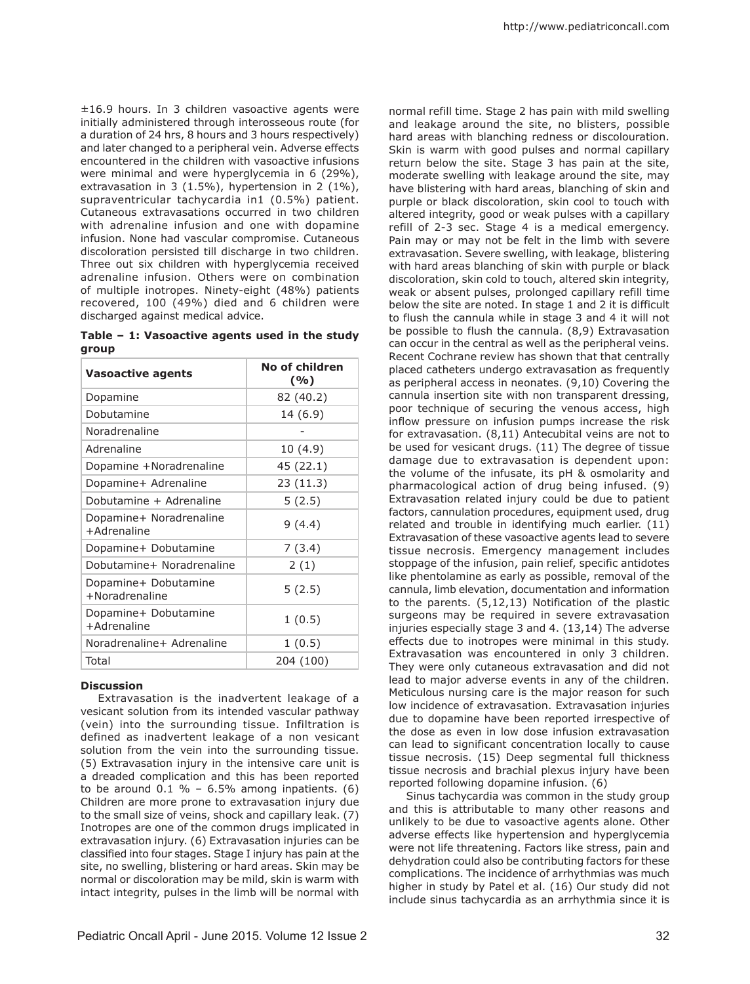±16.9 hours. In 3 children vasoactive agents were initially administered through interosseous route (for a duration of 24 hrs, 8 hours and 3 hours respectively) and later changed to a peripheral vein. Adverse effects encountered in the children with vasoactive infusions were minimal and were hyperglycemia in 6 (29%), extravasation in 3 (1.5%), hypertension in 2 (1%), supraventricular tachycardia in1 (0.5%) patient. Cutaneous extravasations occurred in two children with adrenaline infusion and one with dopamine infusion. None had vascular compromise. Cutaneous discoloration persisted till discharge in two children. Three out six children with hyperglycemia received adrenaline infusion. Others were on combination of multiple inotropes. Ninety-eight (48%) patients recovered, 100 (49%) died and 6 children were discharged against medical advice.

**Table – 1: Vasoactive agents used in the study group**

| <b>Vasoactive agents</b>               | No of children<br>( %) |
|----------------------------------------|------------------------|
| Dopamine                               | 82 (40.2)              |
| Dobutamine                             | 14 (6.9)               |
| Noradrenaline                          |                        |
| Adrenaline                             | 10 (4.9)               |
| Dopamine +Noradrenaline                | 45 (22.1)              |
| Dopamine+ Adrenaline                   | 23 (11.3)              |
| Dobutamine + Adrenaline                | 5(2.5)                 |
| Dopamine+ Noradrenaline<br>+Adrenaline | 9(4.4)                 |
| Dopamine+ Dobutamine                   | 7(3.4)                 |
| Dobutamine+ Noradrenaline              | 2(1)                   |
| Dopamine+ Dobutamine<br>+Noradrenaline | 5(2.5)                 |
| Dopamine+ Dobutamine<br>+Adrenaline    | 1(0.5)                 |
| Noradrenaline+ Adrenaline              | 1(0.5)                 |
| Total                                  | 204 (100)              |

#### **Discussion**

Extravasation is the inadvertent leakage of a vesicant solution from its intended vascular pathway (vein) into the surrounding tissue. Infiltration is defined as inadvertent leakage of a non vesicant solution from the vein into the surrounding tissue. (5) Extravasation injury in the intensive care unit is a dreaded complication and this has been reported to be around  $0.1 \% - 6.5\%$  among inpatients. (6) Children are more prone to extravasation injury due to the small size of veins, shock and capillary leak. (7) Inotropes are one of the common drugs implicated in extravasation injury. (6) Extravasation injuries can be classified into four stages. Stage I injury has pain at the site, no swelling, blistering or hard areas. Skin may be normal or discoloration may be mild, skin is warm with intact integrity, pulses in the limb will be normal with

normal refill time. Stage 2 has pain with mild swelling and leakage around the site, no blisters, possible hard areas with blanching redness or discolouration. Skin is warm with good pulses and normal capillary return below the site. Stage 3 has pain at the site, moderate swelling with leakage around the site, may have blistering with hard areas, blanching of skin and purple or black discoloration, skin cool to touch with altered integrity, good or weak pulses with a capillary refill of 2-3 sec. Stage 4 is a medical emergency. Pain may or may not be felt in the limb with severe extravasation. Severe swelling, with leakage, blistering with hard areas blanching of skin with purple or black discoloration, skin cold to touch, altered skin integrity, weak or absent pulses, prolonged capillary refill time below the site are noted. In stage 1 and 2 it is difficult to flush the cannula while in stage 3 and 4 it will not be possible to flush the cannula. (8,9) Extravasation can occur in the central as well as the peripheral veins. Recent Cochrane review has shown that that centrally placed catheters undergo extravasation as frequently as peripheral access in neonates. (9,10) Covering the cannula insertion site with non transparent dressing, poor technique of securing the venous access, high inflow pressure on infusion pumps increase the risk for extravasation. (8,11) Antecubital veins are not to be used for vesicant drugs. (11) The degree of tissue damage due to extravasation is dependent upon: the volume of the infusate, its pH & osmolarity and pharmacological action of drug being infused. (9) Extravasation related injury could be due to patient factors, cannulation procedures, equipment used, drug related and trouble in identifying much earlier. (11) Extravasation of these vasoactive agents lead to severe tissue necrosis. Emergency management includes stoppage of the infusion, pain relief, specific antidotes like phentolamine as early as possible, removal of the cannula, limb elevation, documentation and information to the parents. (5,12,13) Notification of the plastic surgeons may be required in severe extravasation injuries especially stage 3 and 4. (13,14) The adverse effects due to inotropes were minimal in this study. Extravasation was encountered in only 3 children. They were only cutaneous extravasation and did not lead to major adverse events in any of the children. Meticulous nursing care is the major reason for such low incidence of extravasation. Extravasation injuries due to dopamine have been reported irrespective of the dose as even in low dose infusion extravasation can lead to significant concentration locally to cause tissue necrosis. (15) Deep segmental full thickness tissue necrosis and brachial plexus injury have been reported following dopamine infusion. (6)

Sinus tachycardia was common in the study group and this is attributable to many other reasons and unlikely to be due to vasoactive agents alone. Other adverse effects like hypertension and hyperglycemia were not life threatening. Factors like stress, pain and dehydration could also be contributing factors for these complications. The incidence of arrhythmias was much higher in study by Patel et al. (16) Our study did not include sinus tachycardia as an arrhythmia since it is